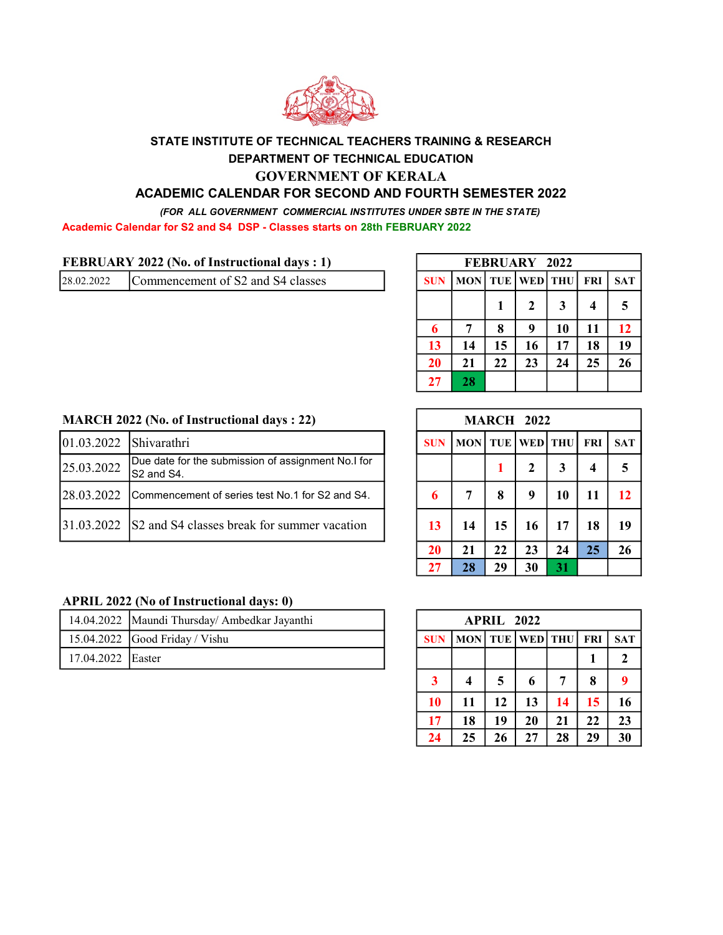

# STATE INSTITUTE OF TECHNICAL TEACHERS TRAINING & RESEARCH DEPARTMENT OF TECHNICAL EDUCATION GOVERNMENT OF KERALA

## ACADEMIC CALENDAR FOR SECOND AND FOURTH SEMESTER 2022

(FOR ALL GOVERNMENT COMMERCIAL INSTITUTES UNDER SBTE IN THE STATE)

Academic Calendar for S2 and S4 DSP - Classes starts on 28th FEBRUARY 2022

| 28.02.2022 | Commencement of S2 and S4 classes |  | SUN   MON  TUE   WED  THU   FRI   SAT |  |  |  |  |  |  |
|------------|-----------------------------------|--|---------------------------------------|--|--|--|--|--|--|
|------------|-----------------------------------|--|---------------------------------------|--|--|--|--|--|--|

|            | FEBRUARY 2022                                         |    |             |    |    |    |  |  |  |  |  |  |  |
|------------|-------------------------------------------------------|----|-------------|----|----|----|--|--|--|--|--|--|--|
| <b>SUN</b> | TUE WED THU<br><b>MON</b><br><b>FRI</b><br><b>SAT</b> |    |             |    |    |    |  |  |  |  |  |  |  |
|            |                                                       |    | $\mathbf 2$ | 3  | 4  | 5  |  |  |  |  |  |  |  |
| 6          |                                                       | 8  | 9           | 10 | 11 | 12 |  |  |  |  |  |  |  |
| 13         | 14                                                    | 15 | 16          | 17 | 18 | 19 |  |  |  |  |  |  |  |
| 20         | 21                                                    | 22 | 23          | 24 | 25 | 26 |  |  |  |  |  |  |  |
| 27         | 28                                                    |    |             |    |    |    |  |  |  |  |  |  |  |

#### MARCH 2022 (No. of Instructional days : 22)

| $ 01.03.2022 $ Shivarathri |                                                                  |    | MON TUE WED THU FRI SAT |  |  |  |
|----------------------------|------------------------------------------------------------------|----|-------------------------|--|--|--|
| 25.03.2022                 | Due date for the submission of assignment No.I for<br>S2 and S4. |    |                         |  |  |  |
| 128.03.2022                | ICommencement of series test No.1 for S2 and S4.                 |    |                         |  |  |  |
|                            | $ 31.03.2022 $ S2 and S4 classes break for summer vacation       | 13 |                         |  |  |  |

#### APRIL 2022 (No of Instructional days: 0)

|                   | 14.04.2022 Maundi Thursday/Ambedkar Javanthi | <b>APRIL</b> 2022 |                                                |  |  |  |  |
|-------------------|----------------------------------------------|-------------------|------------------------------------------------|--|--|--|--|
|                   | $15.04.2022$ Good Friday / Vishu             |                   | <b>SUN   MON   TUE   WED   THU   FRI   SAT</b> |  |  |  |  |
| 17.04.2022 Easter |                                              |                   |                                                |  |  |  |  |

|            |            |    | <b>MARCH 2022</b> |              |                         |            |
|------------|------------|----|-------------------|--------------|-------------------------|------------|
| <b>SUN</b> | <b>MON</b> |    | TUE WED THU       |              | <b>FRI</b>              | <b>SAT</b> |
|            |            |    | $\overline{2}$    | $\mathbf{3}$ | $\overline{\mathbf{4}}$ | 5          |
| 6          | 7          | 8  | 9                 | 10           | 11                      | 12         |
| 13         | 14         | 15 | 16                | 17           | 18                      | 19         |
| 20         | 21         | 22 | 23                | 24           | 25                      | 26         |
| 27         | 28         | 29 | 30                | 31           |                         |            |

|                         | <b>APRIL 2022</b> |            |         |    |            |              |  |  |  |  |  |  |  |
|-------------------------|-------------------|------------|---------|----|------------|--------------|--|--|--|--|--|--|--|
| <b>SUN</b>              | <b>MON</b>        | <b>TUE</b> | WED THU |    | <b>FRI</b> | <b>SAT</b>   |  |  |  |  |  |  |  |
|                         |                   |            |         |    |            | $\mathbf{2}$ |  |  |  |  |  |  |  |
| $\overline{\mathbf{3}}$ | 4                 | 5          | 6       | 7  | 8          | 9            |  |  |  |  |  |  |  |
| 10                      | 11                | 12         | 13      | 14 | 15         | 16           |  |  |  |  |  |  |  |
| 17                      | 18                | 19         | 20      | 21 | 22         | 23           |  |  |  |  |  |  |  |
| 24                      | 25                | 26         | 27      | 28 | 29         | 30           |  |  |  |  |  |  |  |